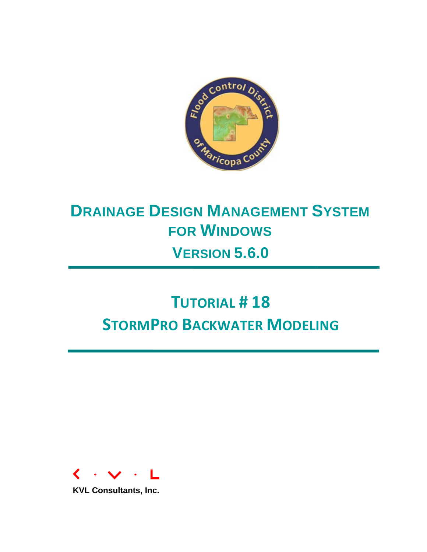

## **DRAINAGE DESIGN MANAGEMENT SYSTEM FOR WINDOWS VERSION 5.6.0**

# **TUTORIAL # 18 STORMPRO BACKWATER MODELING**



**KVL Consultants, Inc.**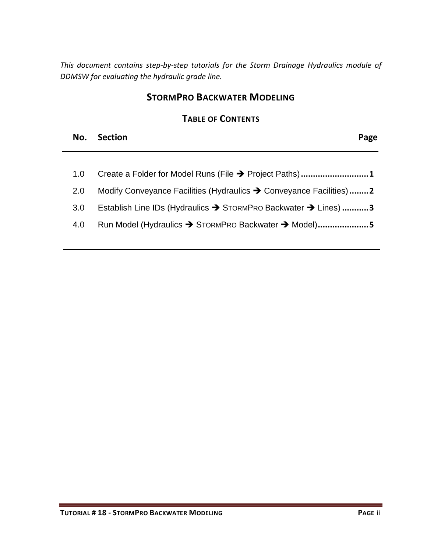*This document contains step-by-step tutorials for the Storm Drainage Hydraulics module of DDMSW for evaluating the hydraulic grade line.* 

#### **STORMPRO BACKWATER MODELING**

#### **TABLE OF CONTENTS**

| No. Section | Page |
|-------------|------|
|             |      |

|     | 1.0 Create a Folder for Model Runs (File → Project Paths)1          |
|-----|---------------------------------------------------------------------|
| 2.0 | Modify Conveyance Facilities (Hydraulics → Conveyance Facilities) 2 |

- 3.0 [Establish Line IDs \(Hydraulics](#page-4-0) → STORMPRO Backwater → Lines) ...........3
- 4.0 [Run Model \(Hydraulics](#page-6-0) → STORMPRO Backwater → Model).....................5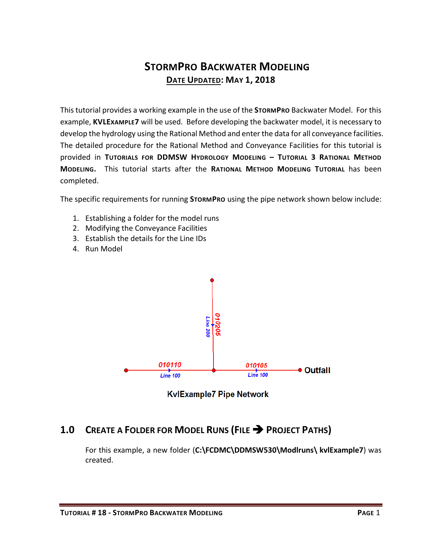### **STORMPRO BACKWATER MODELING DATE UPDATED: MAY 1, 2018**

This tutorial provides a working example in the use of the **STORMPRO** Backwater Model. For this example, **KVLEXAMPLE7** will be used. Before developing the backwater model, it is necessary to develop the hydrology using the Rational Method and enter the data for all conveyance facilities. The detailed procedure for the Rational Method and Conveyance Facilities for this tutorial is provided in **TUTORIALS FOR DDMSW HYDROLOGY MODELING – TUTORIAL 3 RATIONAL METHOD MODELING.** This tutorial starts after the **RATIONAL METHOD MODELING TUTORIAL** has been completed.

The specific requirements for running **STORMPRO** using the pipe network shown below include:

- 1. Establishing a folder for the model runs
- 2. Modifying the Conveyance Facilities
- 3. Establish the details for the Line IDs
- 4. Run Model



**KvlExample7 Pipe Network** 

#### <span id="page-2-0"></span>1.0 **CREATE A FOLDER FOR MODEL RUNS (FILE > PROJECT PATHS)**

For this example, a new folder (**C:\FCDMC\DDMSW530\Modlruns\ kvlExample7**) was created.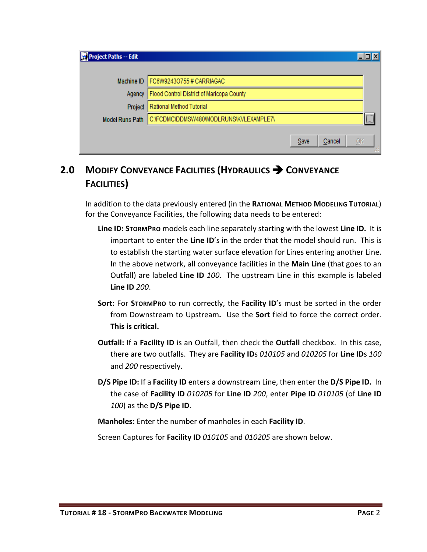| Project Paths -- Edit  |                                           |      |        | – I⊡I ×      |  |
|------------------------|-------------------------------------------|------|--------|--------------|--|
|                        | Machine ID   FC6W92430755# CARRIAGAC      |      |        |              |  |
| Agency                 | Flood Control District of Maricopa County |      |        |              |  |
| Project                | Rational Method Tutorial                  |      |        |              |  |
| <b>Model Runs Path</b> | C:\FCDMC\DDMSW480\MODLRUNS\KVLEXAMPLE7\   |      |        | $\mathbf{m}$ |  |
|                        |                                           | Save | Cancel | <u>ок</u>    |  |

## <span id="page-3-0"></span>**2.0 MODIFY CONVEYANCE FACILITIES (HYDRAULICS CONVEYANCE FACILITIES)**

In addition to the data previously entered (in the **RATIONAL METHOD MODELING TUTORIAL**) for the Conveyance Facilities, the following data needs to be entered:

- **Line ID: STORMPRO** models each line separately starting with the lowest **Line ID.** It is important to enter the **Line ID**'s in the order that the model should run. This is to establish the starting water surface elevation for Lines entering another Line. In the above network, all conveyance facilities in the **Main Line** (that goes to an Outfall) are labeled **Line ID** *100*. The upstream Line in this example is labeled **Line ID** *200*.
- **Sort:** For **STORMPRO** to run correctly, the **Facility ID**'s must be sorted in the order from Downstream to Upstream**.** Use the **Sort** field to force the correct order. **This is critical.**
- **Outfall:** If a **Facility ID** is an Outfall, then check the **Outfall** checkbox. In this case, there are two outfalls. They are **Facility ID**s *010105* and *010205* for **Line ID**s *100* and *200* respectively.
- **D/S Pipe ID:** If a **Facility ID** enters a downstream Line, then enter the **D/S Pipe ID.** In the case of **Facility ID** *010205* for **Line ID** *200*, enter **Pipe ID** *010105* (of **Line ID** *100*) as the **D/S Pipe ID**.

**Manholes:** Enter the number of manholes in each **Facility ID**.

Screen Captures for **Facility ID** *010105* and *010205* are shown below.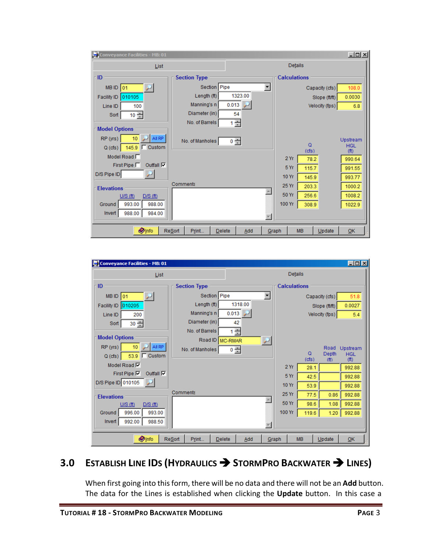| Conveyance Facilities - MB: 01        |                                         |         |       |                     |           |                | $-121 \times$          |
|---------------------------------------|-----------------------------------------|---------|-------|---------------------|-----------|----------------|------------------------|
| List                                  |                                         |         |       | <b>Details</b>      |           |                |                        |
| ID                                    | <b>Section Type</b>                     |         |       | <b>Calculations</b> |           |                |                        |
| $MB$ ID $ 01$                         | Section Pipe                            |         |       |                     |           | Capacity (cfs) | 108.0                  |
| 010105<br>Facility ID                 | Length (ft)                             | 1323.00 |       |                     |           | Slope (ft/ft)  | 0.0030                 |
| Line ID<br>100                        | Manning's n                             | 0.013   |       |                     |           | Velocity (fps) | 6.8                    |
| $10 -$<br>Sort                        | Diameter (in)                           | 54      |       |                     |           |                |                        |
| <b>Model Options</b>                  | No. of Barrels                          | ÷<br>1  |       |                     |           |                |                        |
|                                       |                                         |         |       |                     |           |                |                        |
| All RP<br>RP (yrs)<br>10              | No. of Manholes                         | $0 -$   |       |                     | $\Omega$  |                | Upstream<br><b>HGL</b> |
| 145.9 □ Custom<br>Q(cts)              |                                         |         |       |                     | (cfs)     |                | (f <sup>th</sup> )     |
| Model Road $\Box$                     |                                         |         |       | 2Yr                 | 78.2      |                | 990.64                 |
| Outfall $\nabla$<br>First Pipe $\Box$ |                                         |         |       | 5 Yr                | 115.7     |                | 991.55                 |
| D/S Pipe ID                           |                                         |         |       | 10 Yr               | 145.9     |                | 993.77                 |
| <b>Elevations</b>                     | Comments                                |         |       | 25 Yr               | 203.3     |                | 1000.2                 |
| U/S(f)<br>$D/S$ (ft)                  |                                         |         |       | 50 Yr               | 256.6     |                | 1008.2                 |
| 993.00<br>988.00<br>Ground            |                                         |         |       | 100 Yr              | 308.9     |                | 1022.9                 |
| 988.00<br>Invert<br>984.00            |                                         |         |       |                     |           |                |                        |
|                                       |                                         |         |       |                     |           |                |                        |
| <b>O</b> Info                         | <b>Resort</b><br>Print<br><b>Delete</b> | Add     | Graph |                     | <b>MB</b> | Update         | QK                     |

| Conveyance Facilities - MB: 01          |                           |          |                          |                |                    | $\Box$ o $\Box$        |
|-----------------------------------------|---------------------------|----------|--------------------------|----------------|--------------------|------------------------|
| List                                    |                           |          |                          | <b>Details</b> |                    |                        |
| ID                                      | <b>Section Type</b>       |          | <b>Calculations</b>      |                |                    |                        |
| <b>MBID</b> 01                          | Section Pipe              |          | $\overline{\phantom{a}}$ |                | Capacity (cfs)     | 51.8                   |
| 010205 <br><b>Facility ID</b>           | Length (ft)               | 1318.00  |                          |                | Slope (ft/ft)      | 0.0027                 |
| Line ID<br>200                          | Manning's n               | 0.013    |                          |                | Velocity (fps)     | 5.4                    |
| $30 -$<br>Sort                          | Diameter (in)             | 42       |                          |                |                    |                        |
|                                         | No. of Barrels            | 클        |                          |                |                    |                        |
| <b>Model Options</b>                    | Road ID MC-RMAR           |          |                          |                |                    |                        |
| All RP<br>RP (yrs)<br>10                | No. of Manholes           | $0 \div$ |                          | Q              | Road<br>Depth      | Upstream<br><b>HGL</b> |
| $^-$ Custom<br>53.9<br>Q(cts)           |                           |          |                          | (cfs)          | (f <sup>th</sup> ) | (f <sup>t</sup> )      |
| Model Road V                            |                           |          | 2Yr                      | 28.1           |                    | 992.88                 |
| First Pipe $\nabla$<br>Outfall $\nabla$ |                           |          | 5Yr                      | 42.5           |                    | 992.88                 |
| D/S Pipe ID 010105                      |                           |          | <b>10 Yr</b>             | 53.9           |                    | 992.88                 |
| <b>Elevations</b>                       | Comments                  |          | 25 Yr                    | 77.5           | 0.86               | 992.88                 |
| U/S(f)<br>$D/S$ (ft)                    |                           |          | 50 Yr                    | 98.6           | 1.08               | 992.88                 |
| 993.00<br>996.00<br>Ground              |                           |          | 100 Yr                   | 119.6          | 1.20               | 992.88                 |
| Invert<br>988.50<br>992.00              |                           |          |                          |                |                    |                        |
| <b>O</b> Info                           | ReSort<br>Print<br>Delete | Add      | Graph                    | <b>MB</b>      | Update             | QK                     |

## <span id="page-4-0"></span>**3.0 ESTABLISH LINE IDS (HYDRAULICS STORMPRO BACKWATER LINES)**

When first going into this form, there will be no data and there will not be an **Add** button. The data for the Lines is established when clicking the **Update** button. In this case a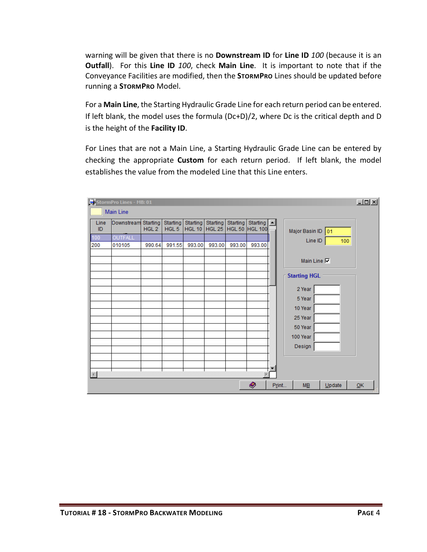warning will be given that there is no **Downstream ID** for **Line ID** *100* (because it is an **Outfall**). For this **Line ID** *100*, check **Main Line**. It is important to note that if the Conveyance Facilities are modified, then the **STORMPRO** Lines should be updated before running a **STORMPRO** Model.

For a **Main Line**, the Starting Hydraulic Grade Line for each return period can be entered. If left blank, the model uses the formula (Dc+D)/2, where Dc is the critical depth and D is the height of the **Facility ID**.

For Lines that are not a Main Line, a Starting Hydraulic Grade Line can be entered by checking the appropriate **Custom** for each return period. If left blank, the model establishes the value from the modeled Line that this Line enters.

| $L = 1$<br>StormPro Lines - MB: 01 |                     |                  |                              |          |                                             |          |                                                |   |                                     |    |
|------------------------------------|---------------------|------------------|------------------------------|----------|---------------------------------------------|----------|------------------------------------------------|---|-------------------------------------|----|
|                                    | Main Line           |                  |                              |          |                                             |          |                                                |   |                                     |    |
| Line<br>ID                         | Downstream Starting | HGL <sub>2</sub> | Starting<br>HGL <sub>5</sub> | Starting | <b>Starting</b><br>HGL 10   HGL 25   HGL 50 | Starting | Starting $\boxed{\triangle}$<br><b>HGL 100</b> |   | Major Basin ID 01                   |    |
| 100                                | OUTFALL             |                  |                              |          |                                             |          |                                                |   | Line ID<br>100                      |    |
| 200                                | 010105              | 990.64           | 991.55                       | 993.00   | 993.00                                      | 993.00   | 993.00                                         |   |                                     |    |
|                                    |                     |                  |                              |          |                                             |          |                                                |   | Main Line <b>I</b>                  |    |
|                                    |                     |                  |                              |          |                                             |          |                                                |   | <b>Starting HGL</b>                 |    |
|                                    |                     |                  |                              |          |                                             |          |                                                |   | 2 Year                              |    |
|                                    |                     |                  |                              |          |                                             |          |                                                |   | 5 Year                              |    |
|                                    |                     |                  |                              |          |                                             |          |                                                |   | 10 Year                             |    |
|                                    |                     |                  |                              |          |                                             |          |                                                |   | 25 Year                             |    |
|                                    |                     |                  |                              |          |                                             |          |                                                |   | 50 Year                             |    |
|                                    |                     |                  |                              |          |                                             |          |                                                |   | 100 Year                            |    |
|                                    |                     |                  |                              |          |                                             |          |                                                |   | Design                              |    |
|                                    |                     |                  |                              |          |                                             |          |                                                |   |                                     |    |
|                                    |                     |                  |                              |          |                                             |          |                                                | ▼ |                                     |    |
| $\left  \cdot \right $             |                     |                  |                              |          |                                             |          |                                                |   |                                     |    |
|                                    |                     |                  |                              |          |                                             |          | O                                              |   | Print<br>$M\underline{B}$<br>Update | QK |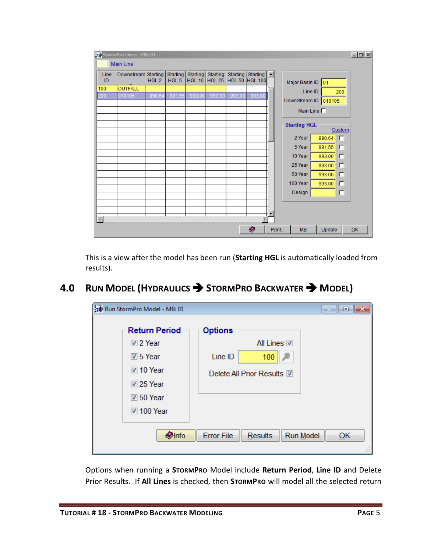| StormPro Lines - MB: 01 |                |                                     |                              |                                  |                    |                                  |                                                |       |                      |        | $-10 \times$ |
|-------------------------|----------------|-------------------------------------|------------------------------|----------------------------------|--------------------|----------------------------------|------------------------------------------------|-------|----------------------|--------|--------------|
| <b>Main Line</b>        |                |                                     |                              |                                  |                    |                                  |                                                |       |                      |        |              |
| Line<br>ID              | Downstream     | <b>Starting</b><br>HGL <sub>2</sub> | Starting<br>HGL <sub>5</sub> | <b>Starting</b><br><b>HGL 10</b> | Starting<br>HGL 25 | <b>Starting</b><br><b>HGL 50</b> | Starting $\boxed{\triangle}$<br><b>HGL 100</b> |       | Major Basin ID 01    |        |              |
| 100                     | <b>OUTFALL</b> |                                     |                              |                                  |                    |                                  |                                                |       | Line ID              |        | 200          |
| 200                     | 010105         | 990.64                              | 991.55                       | 993.00                           | 993.00             | 993.00                           | 993.00                                         |       | DownStream ID 010105 |        |              |
|                         |                |                                     |                              |                                  |                    |                                  |                                                |       | Main Line $\Box$     |        |              |
|                         |                |                                     |                              |                                  |                    |                                  |                                                |       | <b>Starting HGL</b>  |        | Custom       |
|                         |                |                                     |                              |                                  |                    |                                  |                                                |       | 2 Year               | 990.64 | E            |
|                         |                |                                     |                              |                                  |                    |                                  |                                                |       | 5 Year               | 991.55 | г            |
|                         |                |                                     |                              |                                  |                    |                                  |                                                |       | 10 Year              | 993.00 | г            |
|                         |                |                                     |                              |                                  |                    |                                  |                                                |       | 25 Year              | 993.00 | Е            |
|                         |                |                                     |                              |                                  |                    |                                  |                                                |       | 50 Year              | 993.00 | г            |
|                         |                |                                     |                              |                                  |                    |                                  |                                                |       | 100 Year             | 993.00 | г            |
|                         |                |                                     |                              |                                  |                    |                                  |                                                |       | Design               |        | г            |
|                         |                |                                     |                              |                                  |                    |                                  |                                                |       |                      |        |              |
|                         |                |                                     |                              |                                  |                    |                                  |                                                |       |                      |        |              |
|                         |                |                                     |                              |                                  |                    |                                  |                                                |       |                      |        |              |
|                         |                |                                     |                              |                                  |                    |                                  | O                                              | Print | ME                   | Update | QK           |

This is a view after the model has been run (**Starting HGL** is automatically loaded from results).

## <span id="page-6-0"></span>**4.0 RUN MODEL (HYDRAULICS STORMPRO BACKWATER MODEL)**

| Run StormPro Model - MB: 01 |                              | $\Box$ $\Box$ $\mathbf{x}$ |
|-----------------------------|------------------------------|----------------------------|
| <b>Return Period</b>        | <b>Options</b>               |                            |
| <b>☑</b> 2 Year             | All Lines <b>☑</b>           |                            |
| $\overline{v}$ 5 Year       | Line ID<br>100               |                            |
| <b>☑</b> 10 Year            | Delete All Prior Results M   |                            |
| $\sqrt{25}$ Year            |                              |                            |
| $\sqrt{2}$ 50 Year          |                              |                            |
| 7 100 Year                  |                              |                            |
| <b>Olnfo</b>                | <b>Error File</b><br>Results | Run Model<br>OK            |

Options when running a **STORMPRO** Model include **Return Period**, **Line ID** and Delete Prior Results. If **All Lines** is checked, then **STORMPRO** will model all the selected return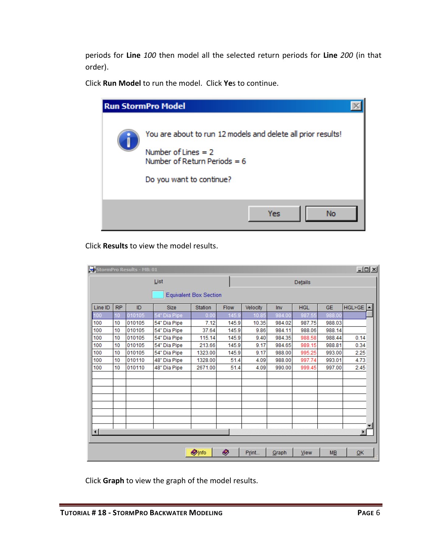periods for **Line** *100* then model all the selected return periods for **Line** *200* (in that order).

Click **Run Model** to run the model. Click **Ye**s to continue.

| <b>Run StormPro Model</b>                                                                                                                           |  |
|-----------------------------------------------------------------------------------------------------------------------------------------------------|--|
| You are about to run 12 models and delete all prior results!<br>Number of Lines $= 2$<br>Number of Return Periods = $6$<br>Do you want to continue? |  |
| Yes<br>No                                                                                                                                           |  |

Click **Results** to view the model results.

| $L = 1$<br>StormPro Results - MB: 01 |           |        |              |                               |       |          |        |            |           |                          |
|--------------------------------------|-----------|--------|--------------|-------------------------------|-------|----------|--------|------------|-----------|--------------------------|
| List                                 |           |        |              |                               |       |          |        | Details    |           |                          |
|                                      |           |        |              | <b>Equivalent Box Section</b> |       |          |        |            |           |                          |
| Line ID                              | <b>RP</b> | ID     | <b>Size</b>  | <b>Station</b>                | Flow  | Velocity | Inv    | <b>HGL</b> | <b>GE</b> | $HGL > GE$ $\rightarrow$ |
| 100                                  | 10        | 010105 | 54" Dia Pipe | 0.00                          | 145.9 | 10.85    | 984.00 | 987.55     | 988.00    |                          |
| 100                                  | 10        | 010105 | 54" Dia Pipe | 7.12                          | 145.9 | 10.35    | 984.02 | 987.75     | 988.03    |                          |
| 100                                  | 10        | 010105 | 54" Dia Pipe | 37.64                         | 145.9 | 9.86     | 984.11 | 988.06     | 988.14    |                          |
| 100                                  | 10        | 010105 | 54" Dia Pipe | 115.14                        | 145.9 | 9.40     | 984.35 | 988.58     | 988.44    | 0.14                     |
| 100                                  | 10        | 010105 | 54" Dia Pipe | 213.66                        | 145.9 | 9.17     | 984.65 | 989.15     | 988.81    | 0.34                     |
| 100                                  | 10        | 010105 | 54" Dia Pipe | 1323.00                       | 145.9 | 9.17     | 988.00 | 995.25     | 993.00    | 2.25                     |
| 100                                  | 10        | 010110 | 48" Dia Pipe | 1328.00                       | 51.4  | 4.09     | 988.00 | 997.74     | 993.01    | 4.73                     |
| 100                                  | 10        | 010110 | 48" Dia Pipe | 2671.00                       | 51.4  | 4.09     | 990.00 | 999.45     | 997.00    | 2.45                     |
|                                      |           |        |              |                               |       |          |        |            |           |                          |
|                                      |           |        |              |                               |       |          |        |            |           |                          |
|                                      |           |        |              |                               |       |          |        |            |           |                          |
| $\left  \cdot \right $               |           |        |              |                               |       |          |        |            |           | $\blacktriangleright$    |
|                                      |           |        |              |                               |       |          |        |            |           |                          |
|                                      |           |        |              | <b>O</b> Info                 | Ø     | Print    | Graph  | View       | MB        | QK                       |

Click **Graph** to view the graph of the model results.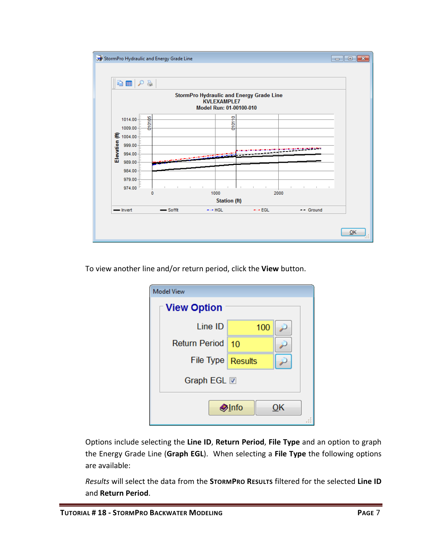

To view another line and/or return period, click the **View** button.

| <b>Model View</b>    |     |  |  |  |  |  |  |  |
|----------------------|-----|--|--|--|--|--|--|--|
| <b>View Option</b>   |     |  |  |  |  |  |  |  |
| Line ID              | 100 |  |  |  |  |  |  |  |
| <b>Return Period</b> | 10  |  |  |  |  |  |  |  |
| File Type Results    |     |  |  |  |  |  |  |  |
| Graph EGL <b>ID</b>  |     |  |  |  |  |  |  |  |
| <b>Olnfo</b><br>ОΚ   |     |  |  |  |  |  |  |  |

Options include selecting the **Line ID**, **Return Period**, **File Type** and an option to graph the Energy Grade Line (**Graph EGL**). When selecting a **File Type** the following options are available:

*Results* will select the data from the **STORMPRO RESULTS** filtered for the selected **Line ID** and **Return Period**.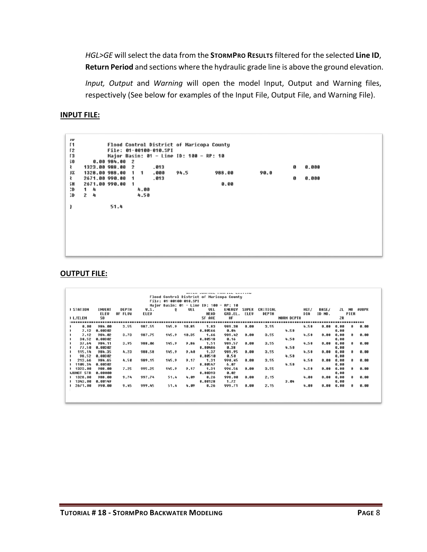*HGL>GE* will select the data from the **STORMPRO RESULTS** filtered for the selected **Line ID**, **Return Period** and sections where the hydraulic grade line is above the ground elevation.

*Input, Output* and *Warning* will open the model Input, Output and Warning files, respectively (See below for examples of the Input File, Output File, and Warning File).

#### **INPUT FILE:**

| JU<br>Γ1<br>Г2<br>Γ3<br>30<br>₹<br>JX<br>₹ | Flood Control District of Maricopa County<br>File: 01-00100-010.SPI<br>Major Basin: 01 - Line ID: 100 - RP: 10<br>0.00984.002<br>1323.00 988.00<br>.013<br>2<br>1328.00 988.00<br>. 000<br>1<br>$\mathbf{1}$<br>2671.00 990.00<br>.013<br>$\mathbf{1}$ | 988.00<br>90.0<br>94.5 | 0.000<br>G)<br>0.000<br>ø |
|--------------------------------------------|--------------------------------------------------------------------------------------------------------------------------------------------------------------------------------------------------------------------------------------------------------|------------------------|---------------------------|
| šН<br>C.                                   | 2671.00 990.00<br>$\overline{\mathbf{1}}$<br>1<br>4.00<br>4                                                                                                                                                                                            | 0.00                   |                           |
| C.                                         | $\mathbf{2}$<br>4.50<br>4                                                                                                                                                                                                                              |                        |                           |
|                                            | 51.4                                                                                                                                                                                                                                                   |                        |                           |
|                                            |                                                                                                                                                                                                                                                        |                        |                           |
|                                            |                                                                                                                                                                                                                                                        |                        |                           |
|                                            |                                                                                                                                                                                                                                                        |                        |                           |
|                                            |                                                                                                                                                                                                                                                        |                        |                           |
|                                            |                                                                                                                                                                                                                                                        |                        |                           |

#### **OUTPUT FILE:**

|                  |               |              |        |                        |       |                                  | <b>BUILD JUNEAUL ENDEALL LIJIING</b>      |              |              |                   |      |              |      |                |              |
|------------------|---------------|--------------|--------|------------------------|-------|----------------------------------|-------------------------------------------|--------------|--------------|-------------------|------|--------------|------|----------------|--------------|
|                  |               |              |        | File: 01-00100-010.SPI |       |                                  | Flood Control District of Maricopa County |              |              |                   |      |              |      |                |              |
|                  |               |              |        |                        |       | Major Basin: 01 - Line ID: 100 - | RP: 10                                    |              |              |                   |      |              |      |                |              |
| <b>I STATION</b> | <b>INVERT</b> | <b>DEPTH</b> | W.S.   | $\bf{0}$               | UEL   | <b>VEL</b>                       | <b>ENERGY</b>                             | <b>SUPER</b> | CRITICAL     |                   | HGT/ | <b>BASE/</b> | ZL.  | N <sub>0</sub> | <b>AUBPR</b> |
|                  | ELEU          | OF FLOW      | ELEU   |                        |       | <b>HEAD</b>                      | GRD.EL.                                   | ELEU         | <b>DEPTH</b> |                   | DIA  | ID NO.       |      | PIER           |              |
| I L/ELEM         | 50            |              |        |                        |       | SF AUE                           | HF                                        |              |              | <b>NORM DEPTH</b> |      |              | 2R   |                |              |
|                  |               |              |        |                        |       |                                  |                                           |              |              |                   |      |              |      |                |              |
| 0.00             | 984.00        | 3.55         | 987.55 | 145.9                  | 10.85 | 1.83                             | 989.38                                    | 0.00         | 3.55         |                   | 4.50 | 0.00         | 0.00 |                | 0.00         |
| 7.12             | 8.00302       |              |        |                        |       | 8.88566                          | 0.04                                      |              |              | 4.58              |      |              | 0.00 |                |              |
| 7.12             | 984.82        | 3.73         | 987.75 | 145.9                  | 10.35 | 1.66                             | 989.42                                    | 0.00         | 3.55         |                   | 4.58 | 8.88         | 0.00 | 8              | 8.88         |
| 30.52            | 8.00302       |              |        |                        |       | 0.00518                          | 0.16                                      |              |              | 4.50              |      |              | 0.00 |                |              |
| 37.64            | 984.11        | 3.95         | 988.86 | 145.9                  | 9.86  | 1.51                             | 989.57                                    | 8.88         | 3.55         |                   | 4.58 | 8.88         | 0.00 | 8              | 8.88         |
| 77.50            | 0.00302       |              |        |                        |       | 0.00486                          | 0.38                                      |              |              | 4.50              |      |              | 0.00 |                |              |
| 115.14           | 984.35        | 4.23         | 988.58 | 145.9                  | 9.40  | 1.37                             | 989.95                                    | 8.80         | 3.55         |                   | 4.50 | 8.88         | 0.00 | 61             | 0.00         |
| 98.52            | 8.00302       |              |        |                        |       | 8.88518                          | 0.50                                      |              |              | 4.58              |      |              | 0.00 |                |              |
| 213.66           | 984.65        | 4.50         | 989.15 | 145.9                  | 9.17  | 1.31                             | 998.45                                    | 8.80         | 3.55         |                   | 4.50 | 0.00         | 0.00 |                | 0.00         |
| 1109.34          | 0.00302       |              |        |                        |       | 8.00547                          | 6.07                                      |              |              | 4.58              |      |              | 0.00 |                |              |
| 1323.00          | 988.00        | 7.25         | 995.25 | 145.9                  | 9.17  | 1.31                             | 996.56                                    | 8.80         | 3.55         |                   | 4.58 | 8.88         | 0.00 |                | 0.00         |
| IJUNCT STR       | 8.00000       |              |        |                        |       | 8.88393                          | 0.02                                      |              |              |                   |      |              | 0.00 |                |              |
| 1 1328.00        | 988.00        | 9.74         | 997.74 | 51.4                   | 4.89  | 0.26                             | 998.00                                    | 8.88         | 2.15         |                   | 4.00 | 8.88         | 0.00 | <b>a</b>       | 8.88         |
| 1343.00          | 8.00149       |              |        |                        |       | 0.00128                          | 1.72                                      |              |              | 3.04              |      |              | 0.00 |                |              |
| 2671.00          | 998.88        | 9.45         | 999.45 | 51.4                   | 4.89  | 0.26                             | 999.71                                    | 8.88         | 2.15         |                   | 4.00 | 8.88         | 8.88 | <b>G</b>       | 8.88         |
|                  |               |              |        |                        |       |                                  |                                           |              |              |                   |      |              |      |                |              |
|                  |               |              |        |                        |       |                                  |                                           |              |              |                   |      |              |      |                |              |
|                  |               |              |        |                        |       |                                  |                                           |              |              |                   |      |              |      |                |              |
|                  |               |              |        |                        |       |                                  |                                           |              |              |                   |      |              |      |                |              |